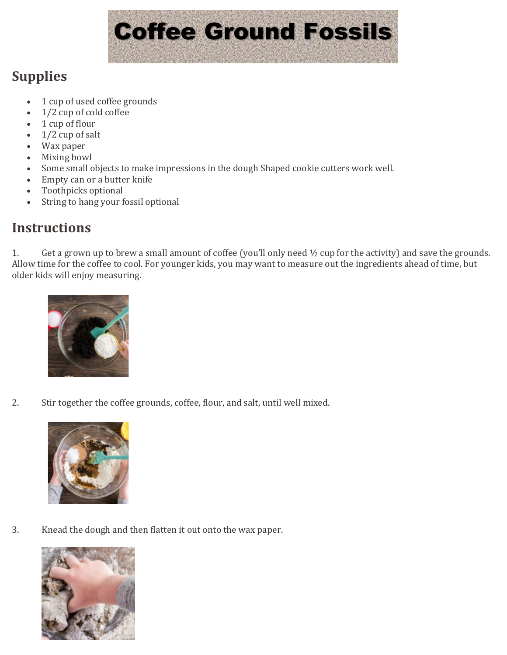

## **Supplies**

- 1 cup of used coffee grounds<br>•  $1/2$  cup of cold coffee
- 1/2 cup of cold coffee
- $1$  cup of flour<br>•  $1/2$  cup of sal
- 1/2 cup of salt
- Wax paper
- Mixing bowl<br>• Some small of
- Some small objects to make impressions in the dough Shaped cookie cutters work well.<br>• Empty can or a butter knife
- Empty can or a butter knife<br>• Toothnicks optional
- Toothpicks optional<br>• String to hang your f
- String to hang your fossil optional

## **Instructions**

1. Get a grown up to brew a small amount of coffee (you'll only need  $\frac{1}{2}$  cup for the activity) and save the grounds. Allow time for the coffee to cool. For younger kids, you may want to measure out the ingredients ahead of time, but older kids will enjoy measuring.



2. Stir together the coffee grounds, coffee, flour, and salt, until well mixed.



3. Knead the dough and then flatten it out onto the wax paper.